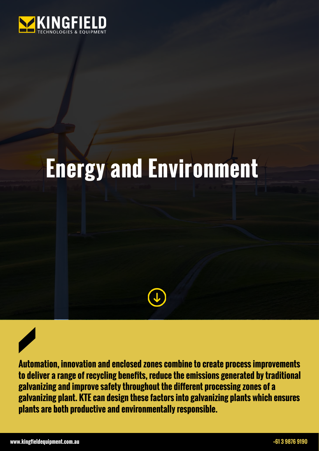

## **Energy and Environment**



**Automation, innovation and enclosed zones combine to create process improvements to deliver a range of recycling benefits, reduce the emissions generated by traditional galvanizing and improve safety throughout the different processing zones of a galvanizing plant. KTE can design these factors into galvanizing plants which ensures plants are both productive and environmentally responsible.**